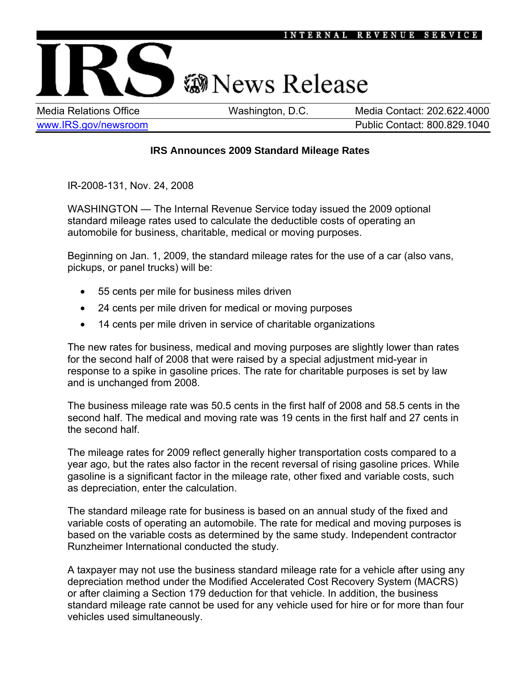

## **@News Release**

Media Relations Office Washington, D.C. Media Contact: 202.622.4000 [www.IRS.gov/newsroom](http://www.irs.gov/newsroom/index.html) example and the public Contact: 800.829.1040

## **IRS Announces 2009 Standard Mileage Rates**

IR-2008-131, Nov. 24, 2008

WASHINGTON — The Internal Revenue Service today issued the 2009 optional standard mileage rates used to calculate the deductible costs of operating an automobile for business, charitable, medical or moving purposes.

Beginning on Jan. 1, 2009, the standard mileage rates for the use of a car (also vans, pickups, or panel trucks) will be:

- 55 cents per mile for business miles driven
- 24 cents per mile driven for medical or moving purposes
- 14 cents per mile driven in service of charitable organizations

The new rates for business, medical and moving purposes are slightly lower than rates for the second half of 2008 that were raised by a special adjustment mid-year in response to a spike in gasoline prices. The rate for charitable purposes is set by law and is unchanged from 2008.

The business mileage rate was 50.5 cents in the first half of 2008 and 58.5 cents in the second half. The medical and moving rate was 19 cents in the first half and 27 cents in the second half.

The mileage rates for 2009 reflect generally higher transportation costs compared to a year ago, but the rates also factor in the recent reversal of rising gasoline prices. While gasoline is a significant factor in the mileage rate, other fixed and variable costs, such as depreciation, enter the calculation.

The standard mileage rate for business is based on an annual study of the fixed and variable costs of operating an automobile. The rate for medical and moving purposes is based on the variable costs as determined by the same study. Independent contractor Runzheimer International conducted the study.

A taxpayer may not use the business standard mileage rate for a vehicle after using any depreciation method under the Modified Accelerated Cost Recovery System (MACRS) or after claiming a Section 179 deduction for that vehicle. In addition, the business standard mileage rate cannot be used for any vehicle used for hire or for more than four vehicles used simultaneously.